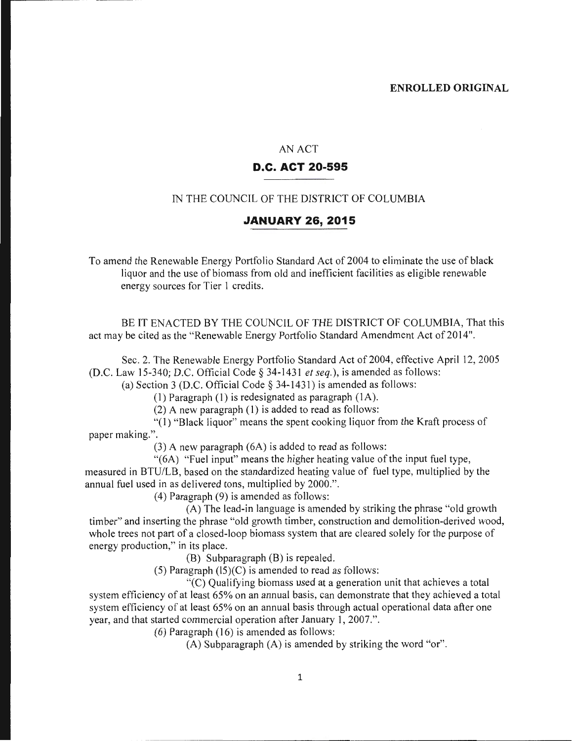#### AN ACT

#### **D.C. ACT 20-595**

#### IN THE COUNCIL OF THE DISTRICT OF COLUMBIA

#### **JANUARY 26, 2015**

To amend the Renewable Energy Portfolio Standard Act of 2004 to eliminate the use of black liquor and the use of biomass from old and inefficient facilities as eligible renewable energy sources for Tier 1 credits.

BE IT ENACTED BY THE COUNCIL OF THE DISTRICT OF COLUMBIA, That this act may be cited as the "Renewable Energy Portfolio Standard Amendment Act of 2014".

Sec. 2. The Renewable Energy Portfolio Standard Act of 2004, effective April 12, 2005 (D.C. Law 15-340; D.C. Official Code§ 34-1431 *et seq.),* is amended as follows:

(a) Section 3 (D.C. Official Code§ 34-1431) is amended as follows:

(1) Paragraph (1) is redesignated as paragraph (IA).

 $(2)$  A new paragraph  $(1)$  is added to read as follows:

"(l) "Black liquor" means the spent cooking liquor from the Kraft process of paper making.".

(3) A new paragraph (6A) is added to read as follows:

"(6A) "Fuel input" means the higher heating value of the input fuel type,

measured in BTU/LB, based on the standardized heating value of fuel type, multiplied by the annual fuel used in as delivered tons, multiplied by 2000.".

(4) Paragraph (9) is amended as follows:

(A) The lead-in language is amended by striking the phrase "old growth timber" and inserting the phrase "old growth timber, construction and demolition-derived wood, whole trees not part of a closed-loop biomass system that are cleared solely for the purpose of energy production," in its place.

(B) Subparagraph (B) is repealed.

(5) Paragraph  $(15)(C)$  is amended to read as follows:

 $\mathcal{C}(\widehat{C})$  Qualifying biomass used at a generation unit that achieves a total system efficiency of at least 65% on an annual basis, can demonstrate that they achieved a total system efficiency of at least 65% on an annual basis through actual operational data after one year, and that started commercial operation after January 1, 2007.".

(6) Paragraph (16) is amended as follows:

(A) Subparagraph (A) is amended by striking the word "or".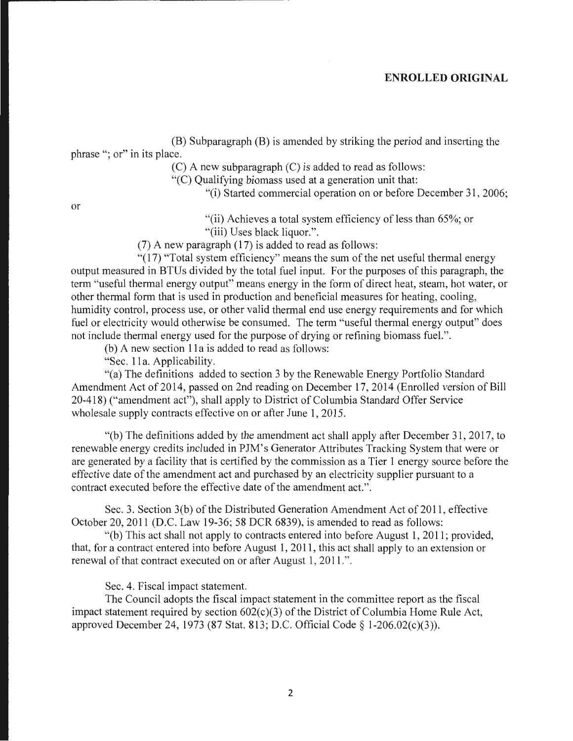#### **ENROLLED ORIGINAL**

(B) Subparagraph (B) is amended by striking the period and inserting the phrase "; or" in its place.

(C) A new subparagraph (C) is added to read as follows:

"(C) Qualifying biomass used at a generation unit that:

"(i) Started commercial operation on or before December 31 , 2006;

or

"(ii) Achieves a total system efficiency of less than 65%; or "(iii) Uses black liquor.".

(7) A new paragraph (17) is added to read as follows:

"(17) "Total system efficiency" means the sum of the net useful thermal energy output measured in BTUs divided by the total fuel input. For the purposes of this paragraph, the term "useful thermal energy output" means energy in the form of direct heat, steam, hot water, or other thermal form that is used in production and beneficial measures for heating, cooling, humidity control, process use, or other valid thermal end use energy requirements and for which fuel or electricity would otherwise be consumed. The term "useful thermal energy output" does not include thermal energy used for the purpose of drying or refining biomass fuel. ".

(b) A new section 11a is added to read as follows:

"Sec. 11a. Applicability.

"(a) The definitions added to section 3 by the Renewable Energy Portfolio Standard Amendment Act of 2014, passed on 2nd reading on December 17, 2014 (Enrolled version of Bill 20-418) ("amendment act"), shall apply to District of Columbia Standard Offer Service wholesale supply contracts effective on or after June 1, 2015.

 $\degree$  (b) The definitions added by the amendment act shall apply after December 31, 2017, to renewable energy credits included in PJM's Generator Attributes Tracking System that were or are generated by a facility that is certified by the commission as a Tier 1 energy source before the effective date of the amendment act and purchased by an electricity supplier pursuant to a contract executed before the effective date of the amendment act.".

Sec. 3. Section 3(b) of the Distributed Generation Amendment Act of 2011 , effective October 20, 2011 (D.C. Law 19-36; 58 DCR 6839), is amended to read as follows:

"(b) This act shall not apply to contracts entered into before August 1, 2011 ; provided, that, for a contract entered into before August 1, 2011 , this act shall apply to an extension or renewal of that contract executed on or after August 1, 2011.".

Sec. 4. Fiscal impact statement.

The Council adopts the fiscal impact statement in the committee report as the fiscal impact statement required by section 602(c)(3) of the District of Columbia Home Rule Act, approved December 24, 1973 (87 Stat. 813; D.C. Official Code§ l-206.02(c)(3)).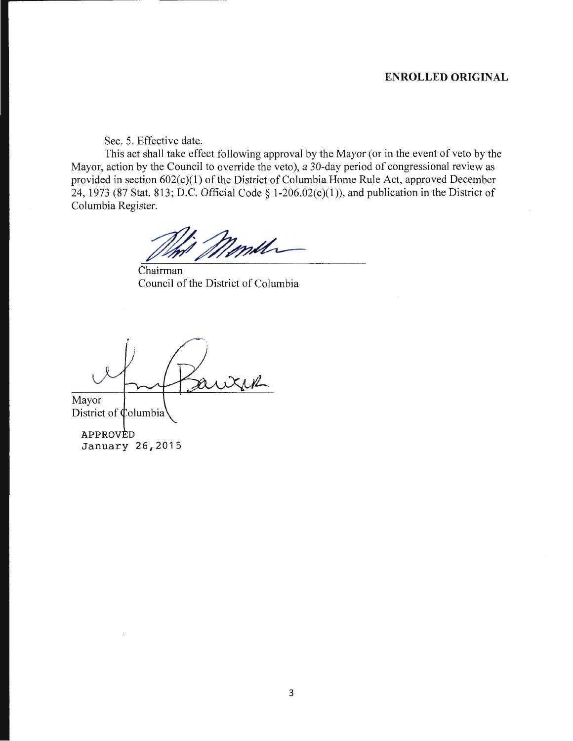### **ENROLLED ORIGINAL**

Sec. 5. Effective date.

This act shall take effect following approval by the Mayor (or in the event of veto by the Mayor, action by the Council to override the veto), a 30-day period of congressional review as provided in section 602(c)(l) of the District of Columbia Home Rule Act, approved December 24, 1973 (87 Stat. 813; D.C. Official Code § 1-206.02(c)(1)), and publication in the District of Columbia Register.

mill

Chairman Council of the District of Columbia

Mayor

District of Columbia

APPROVED January 26,2015